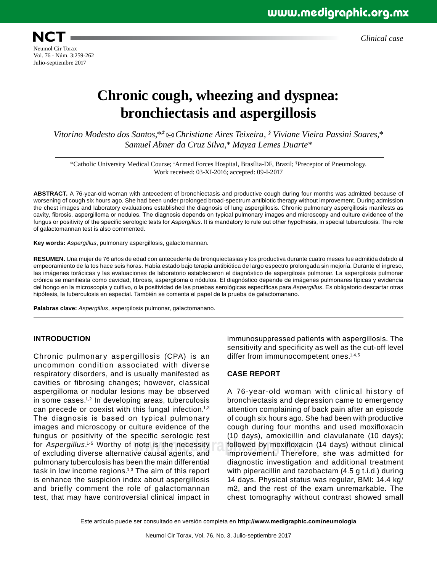*Clinical case*

## **Chronic cough, wheezing and dyspnea: bronchiectasis and aspergillosis**

*Vitorino Modesto dos Santos,\*,‡ Christiane Aires Teixeira, § Viviane Vieira Passini Soares,\* Samuel Abner da Cruz Silva,\* Mayza Lemes Duarte\**

\*Catholic University Medical Course; ‡ Armed Forces Hospital, Brasília-DF, Brazil; § Preceptor of Pneumology. Work received: 03-XI-2016; accepted: 09-I-2017

**ABSTRACT.** A 76-year-old woman with antecedent of bronchiectasis and productive cough during four months was admitted because of worsening of cough six hours ago. She had been under prolonged broad-spectrum antibiotic therapy without improvement. During admission the chest images and laboratory evaluations established the diagnosis of lung aspergillosis. Chronic pulmonary aspergillosis manifests as cavity, fibrosis, aspergilloma or nodules. The diagnosis depends on typical pulmonary images and microscopy and culture evidence of the fungus or positivity of the specific serologic tests for *Aspergillus*. It is mandatory to rule out other hypothesis, in special tuberculosis. The role of galactomannan test is also commented.

**Key words:** *Aspergillus*, pulmonary aspergillosis, galactomannan.

**RESUMEN.** Una mujer de 76 años de edad con antecedente de bronquiectasias y tos productiva durante cuatro meses fue admitida debido al empeoramiento de la tos hace seis horas. Había estado bajo terapia antibiótica de largo espectro prolongada sin mejoría. Durante el ingreso, las imágenes torácicas y las evaluaciones de laboratorio establecieron el diagnóstico de aspergilosis pulmonar. La aspergilosis pulmonar crónica se manifiesta como cavidad, fibrosis, aspergiloma o nódulos. El diagnóstico depende de imágenes pulmonares típicas y evidencia del hongo en la microscopia y cultivo, o la positividad de las pruebas serológicas específicas para *Aspergillus*. Es obligatorio descartar otras hipótesis, la tuberculosis en especial. También se comenta el papel de la prueba de galactomanano.

**Palabras clave:** *Aspergillus*, aspergilosis pulmonar, galactomanano.

#### **INTRODUCTION**

Chronic pulmonary aspergillosis (CPA) is an uncommon condition associated with diverse respiratory disorders, and is usually manifested as cavities or fibrosing changes; however, classical aspergilloma or nodular lesions may be observed in some cases.1,2 In developing areas, tuberculosis can precede or coexist with this fungal infection.<sup>1,3</sup> The diagnosis is based on typical pulmonary images and microscopy or culture evidence of the fungus or positivity of the specific serologic test for *Aspergillus*. 1-5 Worthy of note is the necessity of excluding diverse alternative causal agents, and pulmonary tuberculosis has been the main differential task in low income regions.1,3 The aim of this report is enhance the suspicion index about aspergillosis and briefly comment the role of galactomannan test, that may have controversial clinical impact in

immunosuppressed patients with aspergillosis. The sensitivity and specificity as well as the cut-off level differ from immunocompetent ones.<sup>1,4,5</sup>

#### **CASE REPORT**

note is the necessity followed by moxifloxacin (14 days) without clinical ve causal agents, and improvement. Therefore, she was admitted for A 76-year-old woman with clinical history of bronchiectasis and depression came to emergency attention complaining of back pain after an episode of cough six hours ago. She had been with productive cough during four months and used moxifloxacin (10 days), amoxicillin and clavulanate (10 days); followed by moxifloxacin (14 days) without clinical diagnostic investigation and additional treatment with piperacillin and tazobactam (4.5 g t.i.d.) during 14 days. Physical status was regular, BMI: 14.4 kg/ m2, and the rest of the exam unremarkable. The chest tomography without contrast showed small

Este artículo puede ser consultado en versión completa en **http://www.medigraphic.com/neumologia**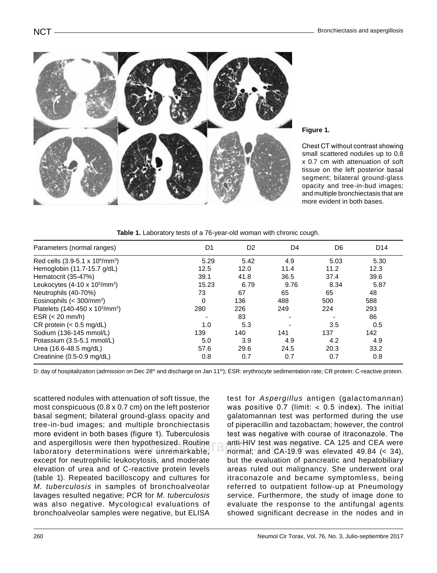

### **Figure 1.**

Chest CT without contrast showing small scattered nodules up to 0.8 x 0.7 cm with attenuation of soft tissue on the left posterior basal segment; bilateral ground-glass opacity and tree-in-bud images; and multiple bronchiectasis that are more evident in both bases.

**Table 1.** Laboratory tests of a 76-year-old woman with chronic cough.

| Parameters (normal ranges)                              | D1       | D <sub>2</sub> | D4   | D <sub>6</sub> | D <sub>14</sub> |
|---------------------------------------------------------|----------|----------------|------|----------------|-----------------|
| Red cells $(3.9-5.1 \times 10^6/\text{mm}^3)$           | 5.29     | 5.42           | 4.9  | 5.03           | 5.30            |
| Hemoglobin (11.7-15.7 g/dL)                             | 12.5     | 12.0           | 11.4 | 11.2           | 12.3            |
| Hematocrit (35-47%)                                     | 39.1     | 41.8           | 36.5 | 37.4           | 39.6            |
| Leukocytes $(4-10 \times 10^3/\text{mm}^3)$             | 15.23    | 6.79           | 9.76 | 8.34           | 5.87            |
| Neutrophils (40-70%)                                    | 73       | 67             | 65   | 65             | 48              |
| Eosinophils $(300/mm3)$                                 | $\Omega$ | 136            | 488  | 500            | 588             |
| Platelets (140-450 x 10 <sup>3</sup> /mm <sup>3</sup> ) | 280      | 226            | 249  | 224            | 293             |
| ESR $(< 20$ mm/h)                                       |          | 83             |      |                | 86              |
| CR protein $(< 0.5$ mg/dL)                              | 1.0      | 5.3            |      | 3.5            | 0.5             |
| Sodium (136-145 mmol/L)                                 | 139      | 140            | 141  | 137            | 142             |
| Potassium (3.5-5.1 mmol/L)                              | 5.0      | 3.9            | 4.9  | 4.2            | 4.9             |
| Urea (16.6-48.5 mg/dL)                                  | 57.6     | 29.6           | 24.5 | 20.3           | 33.2            |
| Creatinine (0.5-0.9 mg/dL)                              | 0.8      | 0.7            | 0.7  | 0.7            | 0.8             |

D: day of hospitalization (admission on Dec 28<sup>th</sup> and discharge on Jan 11<sup>th</sup>); ESR: erythrocyte sedimentation rate; CR protein: C-reactive protein.

and asperginosis were then hypothesized. Routine and anti-<del>ri</del>fvitiest was hega<br>laboratory determinations were unremarkable, and mormal; and CA-19.9 scattered nodules with attenuation of soft tissue, the most conspicuous (0.8 x 0.7 cm) on the left posterior basal segment; bilateral ground-glass opacity and tree-in-bud images; and multiple bronchiectasis more evident in both bases (figure 1). Tuberculosis and aspergillosis were then hypothesized. Routine except for neutrophilic leukocytosis, and moderate elevation of urea and of C-reactive protein levels (table 1). Repeated bacilloscopy and cultures for *M. tuberculosis* in samples of bronchoalveolar lavages resulted negative; PCR for *M. tuberculosis* was also negative. Mycological evaluations of bronchoalveolar samples were negative, but ELISA

test for *Aspergillus* antigen (galactomannan) was positive  $0.7$  (limit:  $< 0.5$  index). The initial galatomannan test was performed during the use of piperacillin and tazobactam; however, the control test was negative with course of itraconazole. The anti-HIV test was negative. CA 125 and CEA were normal; and CA-19.9 was elevated 49.84 (< 34), but the evaluation of pancreatic and hepatobiliary areas ruled out malignancy. She underwent oral itraconazole and became symptomless, being referred to outpatient follow-up at Pneumology service. Furthermore, the study of image done to evaluate the response to the antifungal agents showed significant decrease in the nodes and in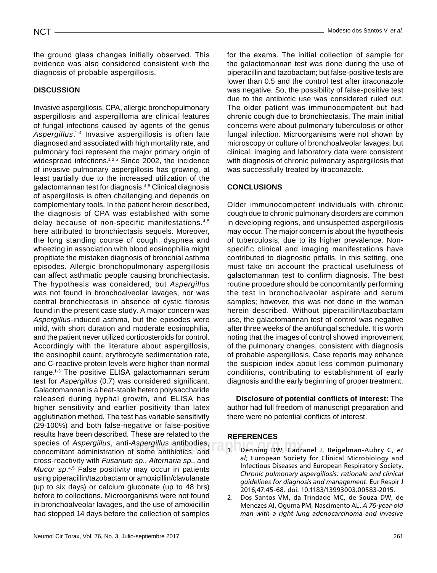the ground glass changes initially observed. This evidence was also considered consistent with the diagnosis of probable aspergillosis.

## **Discussi on**

species of *Aspergillus*, anti-*Aspergillus* antibodies, and all Denning DW, Cadra<br>concomitant administration of some antibiotics, and all Denning DW, Cadra Invasive aspergillosis, CPA, allergic bronchopulmonary aspergillosis and aspergilloma are clinical features of fungal infections caused by agents of the genus *Aspergillus*. 1-4 Invasive aspergillosis is often late diagnosed and associated with high mortality rate, and pulmonary foci represent the major primary origin of widespread infections.<sup>1,2,5</sup> Since 2002, the incidence of invasive pulmonary aspergillosis has growing, at least partially due to the increased utilization of the galactomannan test for diagnosis.4,5 Clinical diagnosis of aspergillosis is often challenging and depends on complementary tools. In the patient herein described, the diagnosis of CPA was established with some delay because of non-specific manifestations.4,5 here attributed to bronchiectasis sequels. Moreover, the long standing course of cough, dyspnea and wheezing in association with blood eosinophilia might propitiate the mistaken diagnosis of bronchial asthma episodes. Allergic bronchopulmonary aspergillosis can affect asthmatic people causing bronchiectasis. The hypothesis was considered, but *Aspergillus* was not found in bronchoalveolar lavages, nor was central bronchiectasis in absence of cystic fibrosis found in the present case study. A major concern was *Aspergillus*-induced asthma, but the episodes were mild, with short duration and moderate eosinophilia, and the patient never utilized corticosteroids for control. Accordingly with the literature about aspergillosis, the eosinophil count, erythrocyte sedimentation rate, and C-reactive protein levels were higher than normal range.<sup>1-3</sup> The positive ELISA galactomannan serum test for *Aspergillus* (0.7) was considered significant. Galactomannan is a heat-stable hetero polysaccharide released during hyphal growth, and ELISA has higher sensitivity and earlier positivity than latex agglutination method. The test has variable sensitivity (29-100%) and both false-negative or false-positive results have been described. These are related to the species of *Aspergillus*, anti-*Aspergillus* antibodies, cross-reactivity with *Fusarium sp*., *Alternaria sp*., and *Mucor sp*. 4,5 False positivity may occur in patients using piperacillin/tazobactam or amoxicillin/clavulanate (up to six days) or calcium gluconate (up to 48 hrs) before to collections. Microorganisms were not found in bronchoalveolar lavages, and the use of amoxicillin had stopped 14 days before the collection of samples

for the exams. The initial collection of sample for the galactomannan test was done during the use of piperacillin and tazobactam; but false-positive tests are lower than 0.5 and the control test after itraconazole was negative. So, the possibility of false-positive test due to the antibiotic use was considered ruled out. The older patient was immunocompetent but had chronic cough due to bronchiectasis. The main initial concerns were about pulmonary tuberculosis or other fungal infection. Microorganisms were not shown by microscopy or culture of bronchoalveolar lavages; but clinical, imaging and laboratory data were consistent with diagnosis of chronic pulmonary aspergillosis that was successfully treated by itraconazole.

### **Conclusi ons**

Older immunocompetent individuals with chronic cough due to chronic pulmonary disorders are common in developing regions, and unsuspected aspergillosis may occur. The major concern is about the hypothesis of tuberculosis, due to its higher prevalence. Nonspecific clinical and imaging manifestations have contributed to diagnostic pitfalls. In this setting, one must take on account the practical usefulness of galactomannan test to confirm diagnosis. The best routine procedure should be concomitantly performing the test in bronchoalveolar aspirate and serum samples; however, this was not done in the woman herein described. Without piperacillin/tazobactam use, the galactomannan test of control was negative after three weeks of the antifungal schedule. It is worth noting that the images of control showed improvement of the pulmonary changes, consistent with diagnosis of probable aspergillosis. Case reports may enhance the suspicion index about less common pulmonary conditions, contributing to establishment of early diagnosis and the early beginning of proper treatment.

**Disclosure of potential conflicts of interest:** The author had full freedom of manuscript preparation and there were no potential conflicts of interest.

#### **References**

- 1. Denning DW, Cadranel J, Beigelman-Aubry C, *et al*; European Society for Clinical Microbiology and Infectious Diseases and European Respiratory Society. *Chronic pulmonary aspergillosis: rationale and clinical guidelines for diagnosis and management*. Eur Respir J 2016;47:45-68. doi: 10.1183/13993003.00583-2015.
- 2. Dos Santos VM, da Trindade MC, de Souza DW, de Menezes AI, Oguma PM, Nascimento AL. *A 76-year-old man with a right lung adenocarcinoma and invasive*